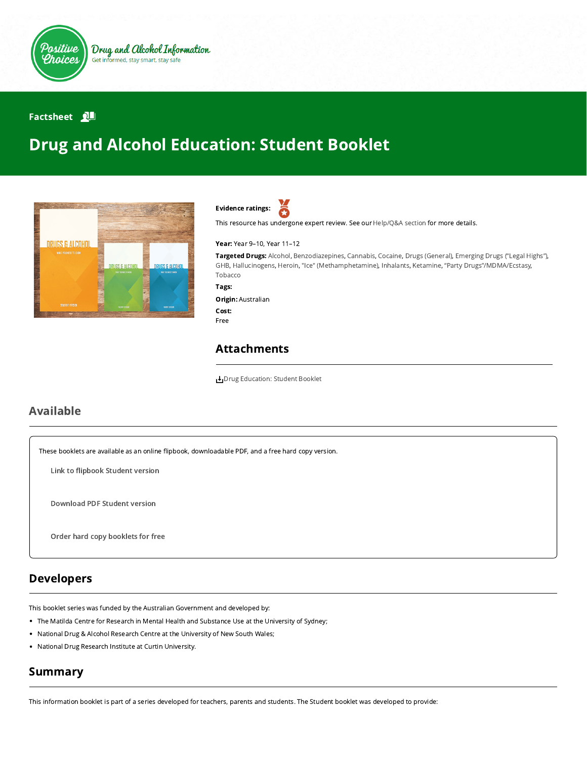

### **Factsheet**

# Drug and Alcohol Education: Student Booklet





This resource has undergone expert review. See our [Help/Q&A section](https://positivechoices.org.au/help/questions-and-answers/) for more details.

#### Year: Year 9–10, Year 11–12

Targeted Drugs: Alcohol, Benzodiazepines, Cannabis, Cocaine, Drugs (General), Emerging Drugs ("Legal Highs"), GHB, Hallucinogens, Heroin, "Ice" (Methamphetamine), Inhalants, Ketamine, "Party Drugs"/MDMA/Ecstasy, Tobacco

Tags:

### Origin: Australian Cost: Free

## Attachments

[Drug Education: Student Booklet](https://positivechoices.org.au/documents/zIFrmBcLeo/drug-education-student-booklet/)

## Available

These booklets are available as an online flipbook, downloadable PDF, and a free hard copy version.

Link to fl[ipbook](https://positivechoices.org.au/pdf/drug-education-booklets/Drug%20Education%20Student%20Booklet/index.html) Student version

[Download](https://positivechoices.org.au/documents/zIFrmBcLeo/drug-education-student-booklet/) PDF Student version

Order hard copy [booklets](https://positivechoices.org.au/order/booklet) for free

## Developers

This booklet series was funded by the Australian Government and developed by:

- The Matilda Centre for Research in Mental Health and Substance Use at the University of Sydney;
- National Drug & Alcohol Research Centre at the University of New South Wales;
- National Drug Research Institute at Curtin University.

## Summary

This information booklet is part of a series developed for teachers, parents and students. The Student booklet was developed to provide: